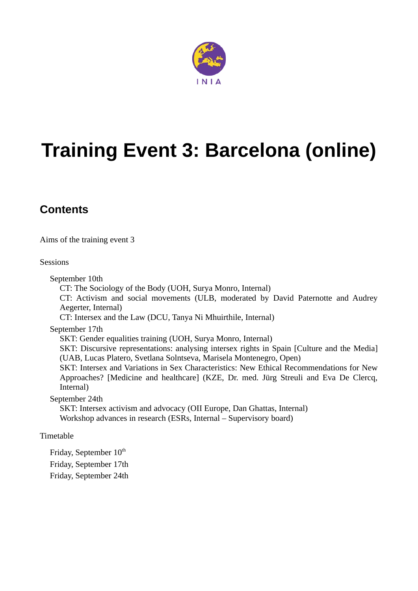

# **Training Event 3: Barcelona (online)**

### **Contents**

[Aims of the training event 3](#page-1-0)

**[Sessions](#page-2-0)** 

September 10th

CT: The Sociology of the Body (UOH, Surya Monro, Internal)

CT: Activism and social movements (ULB, moderated by David Paternotte and Audrey Aegerter, Internal)

CT: Intersex and the Law (DCU, Tanya Ni Mhuirthile, Internal)

September 17th

SKT: Gender equalities training (UOH, Surya Monro, Internal)

SKT: Discursive representations: analysing intersex rights in Spain [Culture and the Media] (UAB, Lucas Platero, Svetlana Solntseva, Marisela Montenegro, Open)

SKT: Intersex and Variations in Sex Characteristics: New Ethical Recommendations for New Approaches? [Medicine and healthcare] (KZE, Dr. med. Jürg Streuli and Eva De Clercq, Internal)

September 24th

SKT: Intersex activism and advocacy (OII Europe, Dan Ghattas, Internal) Workshop advances in research (ESRs, Internal – Supervisory board)

[Timetable](#page-4-0)

Friday, September  $10^{th}$ Friday, September 17th Friday, September 24th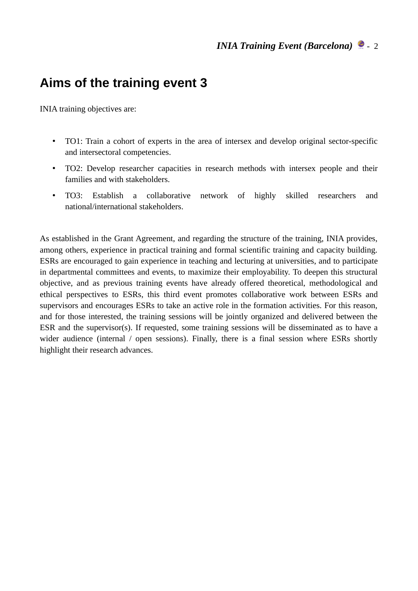# <span id="page-1-0"></span>**Aims of the training event 3**

INIA training objectives are:

- TO1: Train a cohort of experts in the area of intersex and develop original sector-specific and intersectoral competencies.
- TO2: Develop researcher capacities in research methods with intersex people and their families and with stakeholders.
- TO3: Establish a collaborative network of highly skilled researchers and national/international stakeholders.

As established in the Grant Agreement, and regarding the structure of the training, INIA provides, among others, experience in practical training and formal scientific training and capacity building. ESRs are encouraged to gain experience in teaching and lecturing at universities, and to participate in departmental committees and events, to maximize their employability. To deepen this structural objective, and as previous training events have already offered theoretical, methodological and ethical perspectives to ESRs, this third event promotes collaborative work between ESRs and supervisors and encourages ESRs to take an active role in the formation activities. For this reason, and for those interested, the training sessions will be jointly organized and delivered between the ESR and the supervisor(s). If requested, some training sessions will be disseminated as to have a wider audience (internal / open sessions). Finally, there is a final session where ESRs shortly highlight their research advances.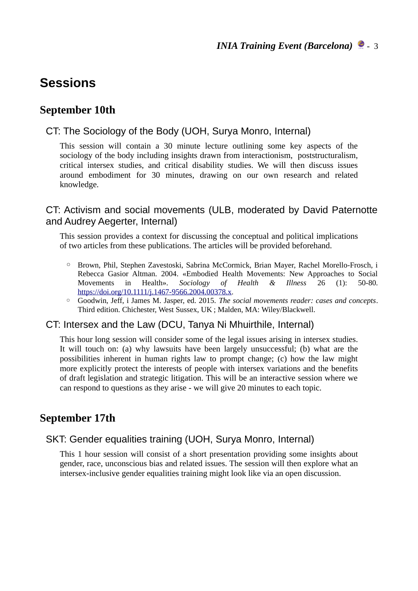## <span id="page-2-0"></span>**Sessions**

#### **September 10th**

#### CT: The Sociology of the Body (UOH, Surya Monro, Internal)

This session will contain a 30 minute lecture outlining some key aspects of the sociology of the body including insights drawn from interactionism, poststructuralism, critical intersex studies, and critical disability studies. We will then discuss issues around embodiment for 30 minutes, drawing on our own research and related knowledge.

#### CT: Activism and social movements (ULB, moderated by David Paternotte and Audrey Aegerter, Internal)

This session provides a context for discussing the conceptual and political implications of two articles from these publications. The articles will be provided beforehand.

- Brown, Phil, Stephen Zavestoski, Sabrina McCormick, Brian Mayer, Rachel Morello-Frosch, i Rebecca Gasior Altman. 2004. «Embodied Health Movements: New Approaches to Social Movements in Health». *Sociology of Health & Illness* 26 (1): 50-80. <https://doi.org/10.1111/j.1467-9566.2004.00378.x>.
- Goodwin, Jeff, i James M. Jasper, ed. 2015. *The social movements reader: cases and concepts*. Third edition. Chichester, West Sussex, UK ; Malden, MA: Wiley/Blackwell.

#### CT: Intersex and the Law (DCU, Tanya Ni Mhuirthile, Internal)

This hour long session will consider some of the legal issues arising in intersex studies. It will touch on: (a) why lawsuits have been largely unsuccessful; (b) what are the possibilities inherent in human rights law to prompt change; (c) how the law might more explicitly protect the interests of people with intersex variations and the benefits of draft legislation and strategic litigation. This will be an interactive session where we can respond to questions as they arise - we will give 20 minutes to each topic.

#### **September 17th**

#### SKT: Gender equalities training (UOH, Surya Monro, Internal)

This 1 hour session will consist of a short presentation providing some insights about gender, race, unconscious bias and related issues. The session will then explore what an intersex-inclusive gender equalities training might look like via an open discussion.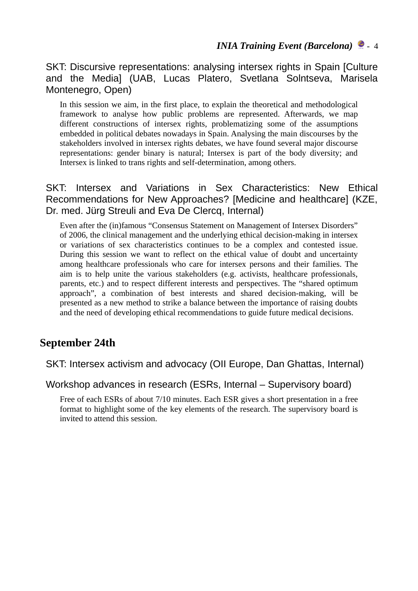SKT: Discursive representations: analysing intersex rights in Spain [Culture and the Media] (UAB, Lucas Platero, Svetlana Solntseva, Marisela Montenegro, Open)

In this session we aim, in the first place, to explain the theoretical and methodological framework to analyse how public problems are represented. Afterwards, we map different constructions of intersex rights, problematizing some of the assumptions embedded in political debates nowadays in Spain. Analysing the main discourses by the stakeholders involved in intersex rights debates, we have found several major discourse representations: gender binary is natural; Intersex is part of the body diversity; and Intersex is linked to trans rights and self-determination, among others.

SKT: Intersex and Variations in Sex Characteristics: New Ethical Recommendations for New Approaches? [Medicine and healthcare] (KZE, Dr. med. Jürg Streuli and Eva De Clercq, Internal)

Even after the (in)famous "Consensus Statement on Management of Intersex Disorders" of 2006, the clinical management and the underlying ethical decision-making in intersex or variations of sex characteristics continues to be a complex and contested issue. During this session we want to reflect on the ethical value of doubt and uncertainty among healthcare professionals who care for intersex persons and their families. The aim is to help unite the various stakeholders (e.g. activists, healthcare professionals, parents, etc.) and to respect different interests and perspectives. The "shared optimum approach", a combination of best interests and shared decision-making, will be presented as a new method to strike a balance between the importance of raising doubts and the need of developing ethical recommendations to guide future medical decisions.

#### **September 24th**

SKT: Intersex activism and advocacy (OII Europe, Dan Ghattas, Internal)

Workshop advances in research (ESRs, Internal – Supervisory board)

Free of each ESRs of about 7/10 minutes. Each ESR gives a short presentation in a free format to highlight some of the key elements of the research. The supervisory board is invited to attend this session.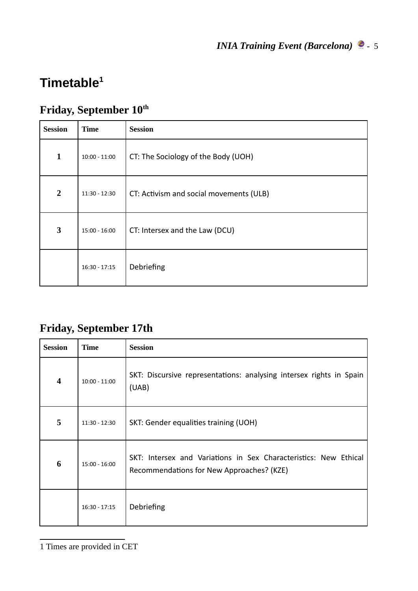# <span id="page-4-0"></span>**Timetable[1](#page-4-1)**

# **Friday, September 10th**

| <b>Session</b> | <b>Time</b>     | <b>Session</b>                          |
|----------------|-----------------|-----------------------------------------|
| $\mathbf{1}$   | $10:00 - 11:00$ | CT: The Sociology of the Body (UOH)     |
| $\overline{2}$ | 11:30 - 12:30   | CT: Activism and social movements (ULB) |
| 3              | $15:00 - 16:00$ | CT: Intersex and the Law (DCU)          |
|                | $16:30 - 17:15$ | Debriefing                              |

## **Friday, September 17th**

<span id="page-4-1"></span>

| <b>Session</b>          | Time            | <b>Session</b>                                                                                                |
|-------------------------|-----------------|---------------------------------------------------------------------------------------------------------------|
| $\overline{\mathbf{4}}$ | $10:00 - 11:00$ | SKT: Discursive representations: analysing intersex rights in Spain<br>(UAB)                                  |
| 5                       | $11:30 - 12:30$ | SKT: Gender equalities training (UOH)                                                                         |
| 6                       | $15:00 - 16:00$ | SKT: Intersex and Variations in Sex Characteristics: New Ethical<br>Recommendations for New Approaches? (KZE) |
|                         | $16:30 - 17:15$ | Debriefing                                                                                                    |